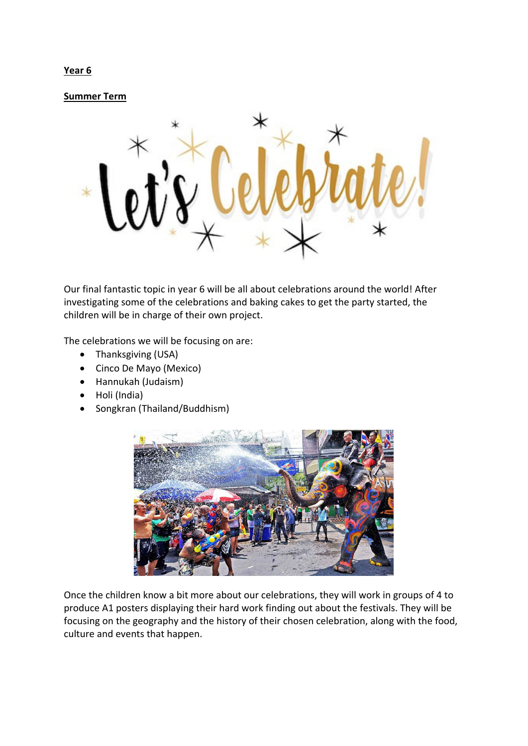## **Year 6**

**Summer Term**



Our final fantastic topic in year 6 will be all about celebrations around the world! After investigating some of the celebrations and baking cakes to get the party started, the children will be in charge of their own project.

The celebrations we will be focusing on are:

- Thanksgiving (USA)
- Cinco De Mayo (Mexico)
- Hannukah (Judaism)
- Holi (India)
- Songkran (Thailand/Buddhism)



Once the children know a bit more about our celebrations, they will work in groups of 4 to produce A1 posters displaying their hard work finding out about the festivals. They will be focusing on the geography and the history of their chosen celebration, along with the food, culture and events that happen.